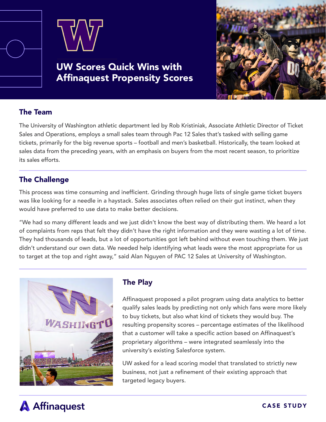

UW Scores Quick Wins with Affinaquest Propensity Scores



### The Team

The University of Washington athletic department led by Rob Kristiniak, Associate Athletic Director of Ticket Sales and Operations, employs a small sales team through Pac 12 Sales that's tasked with selling game tickets, primarily for the big revenue sports – football and men's basketball. Historically, the team looked at sales data from the preceding years, with an emphasis on buyers from the most recent season, to prioritize its sales efforts.

## The Challenge

This process was time consuming and inefficient. Grinding through huge lists of single game ticket buyers was like looking for a needle in a haystack. Sales associates often relied on their gut instinct, when they would have preferred to use data to make better decisions.

"We had so many different leads and we just didn't know the best way of distributing them. We heard a lot of complaints from reps that felt they didn't have the right information and they were wasting a lot of time. They had thousands of leads, but a lot of opportunities got left behind without even touching them. We just didn't understand our own data. We needed help identifying what leads were the most appropriate for us to target at the top and right away," said Alan Nguyen of PAC 12 Sales at University of Washington.



# The Play

Affinaquest proposed a pilot program using data analytics to better qualify sales leads by predicting not only which fans were more likely to buy tickets, but also what kind of tickets they would buy. The resulting propensity scores – percentage estimates of the likelihood that a customer will take a specific action based on Affinaquest's proprietary algorithms – were integrated seamlessly into the university's existing Salesforce system.

UW asked for a lead scoring model that translated to strictly new business, not just a refinement of their existing approach that targeted legacy buyers.

# **A** Affinaquest